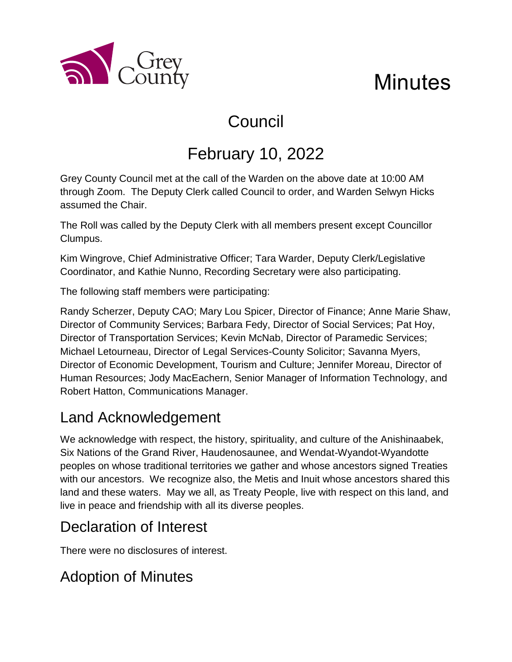

# Council

# February 10, 2022

Grey County Council met at the call of the Warden on the above date at 10:00 AM through Zoom. The Deputy Clerk called Council to order, and Warden Selwyn Hicks assumed the Chair.

The Roll was called by the Deputy Clerk with all members present except Councillor Clumpus.

Kim Wingrove, Chief Administrative Officer; Tara Warder, Deputy Clerk/Legislative Coordinator, and Kathie Nunno, Recording Secretary were also participating.

The following staff members were participating:

a County

Randy Scherzer, Deputy CAO; Mary Lou Spicer, Director of Finance; Anne Marie Shaw, Director of Community Services; Barbara Fedy, Director of Social Services; Pat Hoy, Director of Transportation Services; Kevin McNab, Director of Paramedic Services; Michael Letourneau, Director of Legal Services-County Solicitor; Savanna Myers, Director of Economic Development, Tourism and Culture; Jennifer Moreau, Director of Human Resources; Jody MacEachern, Senior Manager of Information Technology, and Robert Hatton, Communications Manager.

#### Land Acknowledgement

We acknowledge with respect, the history, spirituality, and culture of the Anishinaabek, Six Nations of the Grand River, Haudenosaunee, and Wendat-Wyandot-Wyandotte peoples on whose traditional territories we gather and whose ancestors signed Treaties with our ancestors. We recognize also, the Metis and Inuit whose ancestors shared this land and these waters. May we all, as Treaty People, live with respect on this land, and live in peace and friendship with all its diverse peoples.

#### Declaration of Interest

There were no disclosures of interest.

### Adoption of Minutes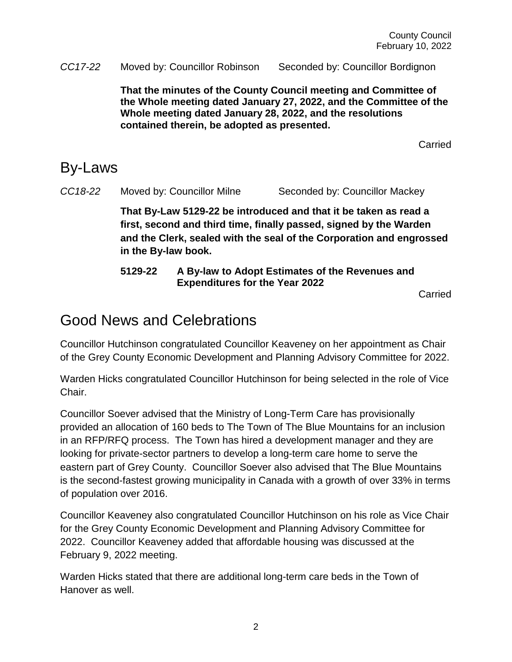*CC17-22* Moved by: Councillor Robinson Seconded by: Councillor Bordignon

**That the minutes of the County Council meeting and Committee of the Whole meeting dated January 27, 2022, and the Committee of the Whole meeting dated January 28, 2022, and the resolutions contained therein, be adopted as presented.** 

Carried

#### By-Laws

*CC18-22* Moved by: Councillor Milne Seconded by: Councillor Mackey

**That By-Law 5129-22 be introduced and that it be taken as read a first, second and third time, finally passed, signed by the Warden and the Clerk, sealed with the seal of the Corporation and engrossed in the By-law book.**

**5129-22 A By-law to Adopt Estimates of the Revenues and Expenditures for the Year 2022** 

Carried

## Good News and Celebrations

Councillor Hutchinson congratulated Councillor Keaveney on her appointment as Chair of the Grey County Economic Development and Planning Advisory Committee for 2022.

Warden Hicks congratulated Councillor Hutchinson for being selected in the role of Vice Chair.

Councillor Soever advised that the Ministry of Long-Term Care has provisionally provided an allocation of 160 beds to The Town of The Blue Mountains for an inclusion in an RFP/RFQ process. The Town has hired a development manager and they are looking for private-sector partners to develop a long-term care home to serve the eastern part of Grey County. Councillor Soever also advised that The Blue Mountains is the second-fastest growing municipality in Canada with a growth of over 33% in terms of population over 2016.

Councillor Keaveney also congratulated Councillor Hutchinson on his role as Vice Chair for the Grey County Economic Development and Planning Advisory Committee for 2022. Councillor Keaveney added that affordable housing was discussed at the February 9, 2022 meeting.

Warden Hicks stated that there are additional long-term care beds in the Town of Hanover as well.